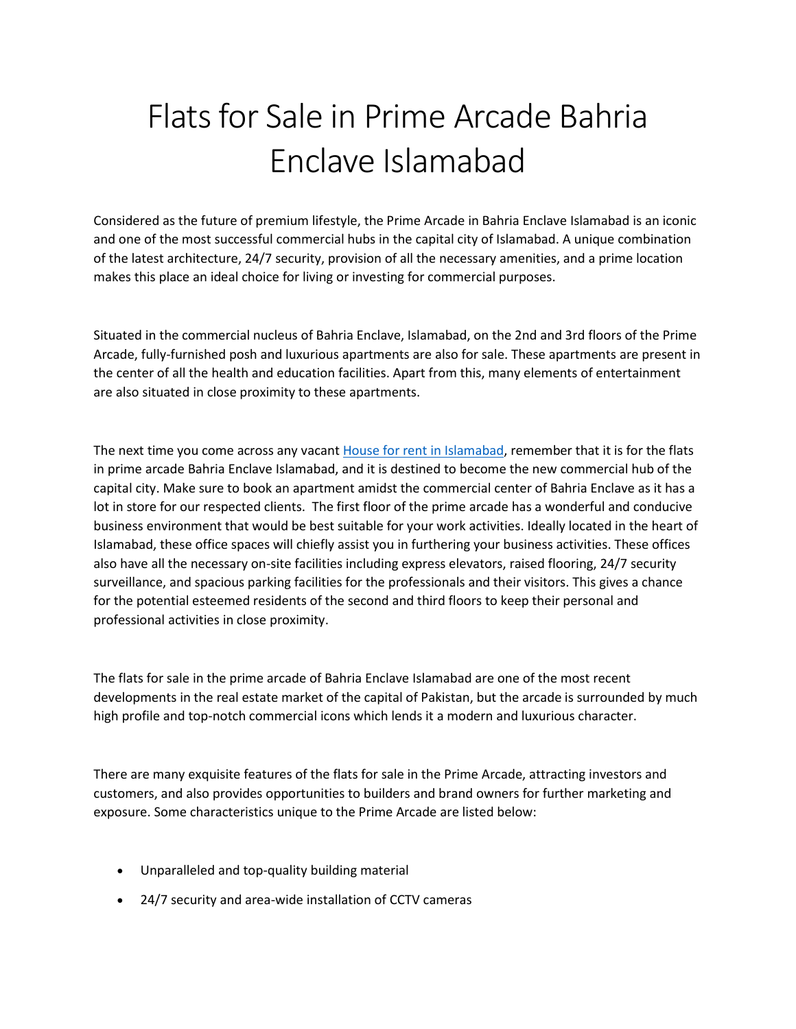## Flats for Sale in Prime Arcade Bahria Enclave Islamabad

Considered as the future of premium lifestyle, the Prime Arcade in Bahria Enclave Islamabad is an iconic and one of the most successful commercial hubs in the capital city of Islamabad. A unique combination of the latest architecture, 24/7 security, provision of all the necessary amenities, and a prime location makes this place an ideal choice for living or investing for commercial purposes.

Situated in the commercial nucleus of Bahria Enclave, Islamabad, on the 2nd and 3rd floors of the Prime Arcade, fully-furnished posh and luxurious apartments are also for sale. These apartments are present in the center of all the health and education facilities. Apart from this, many elements of entertainment are also situated in close proximity to these apartments.

The next time you come across any vacant [House for rent in Islamabad,](https://gharbaar.com/rent/Homes-House/Islamabad-11-1) remember that it is for the flats in prime arcade Bahria Enclave Islamabad, and it is destined to become the new commercial hub of the capital city. Make sure to book an apartment amidst the commercial center of Bahria Enclave as it has a lot in store for our respected clients. The first floor of the prime arcade has a wonderful and conducive business environment that would be best suitable for your work activities. Ideally located in the heart of Islamabad, these office spaces will chiefly assist you in furthering your business activities. These offices also have all the necessary on-site facilities including express elevators, raised flooring, 24/7 security surveillance, and spacious parking facilities for the professionals and their visitors. This gives a chance for the potential esteemed residents of the second and third floors to keep their personal and professional activities in close proximity.

The flats for sale in the prime arcade of Bahria Enclave Islamabad are one of the most recent developments in the real estate market of the capital of Pakistan, but the arcade is surrounded by much high profile and top-notch commercial icons which lends it a modern and luxurious character.

There are many exquisite features of the flats for sale in the Prime Arcade, attracting investors and customers, and also provides opportunities to builders and brand owners for further marketing and exposure. Some characteristics unique to the Prime Arcade are listed below:

- Unparalleled and top-quality building material
- 24/7 security and area-wide installation of CCTV cameras